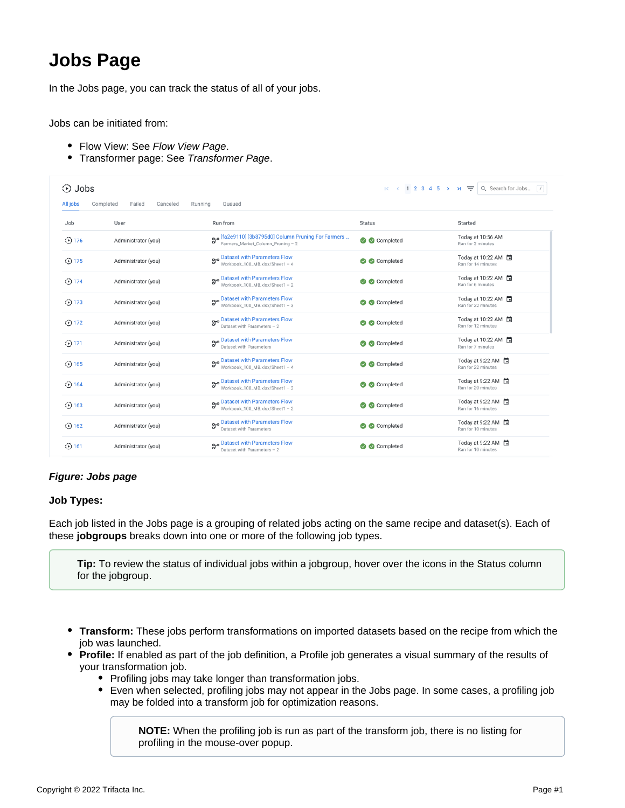# **Jobs Page**

In the Jobs page, you can track the status of all of your jobs.

Jobs can be initiated from:

- Flow View: See [Flow View Page](https://docs.trifacta.com/display/r076/Flow+View+Page).
- Transformer page: See [Transformer Page](https://docs.trifacta.com/display/r076/Transformer+Page).

| ⊙ Jobs      |                                 |                                                                                           |               | $R \leftarrow$ (1 2 3 4 5 > > $\rightarrow$ $\rightleftharpoons$ Q Search for Jobs 7 |
|-------------|---------------------------------|-------------------------------------------------------------------------------------------|---------------|--------------------------------------------------------------------------------------|
| All jobs    | Completed<br>Failed<br>Canceled | Running<br>Oueued                                                                         |               |                                                                                      |
| Job         | User                            | Run from                                                                                  | <b>Status</b> | Started                                                                              |
| $③$ 176     | Administrator (you)             | Bro [fa2e9110] [3b8795d0] Column Pruning For Farmers<br>Farmers_Market_Column_Pruning - 2 | Completed     | Today at 10:56 AM<br>Ran for 2 minutes                                               |
| $\odot$ 175 | Administrator (you)             | B <sub>7</sub> Dataset with Parameters Flow<br>Workbook_100_MB.xlsx/Sheet1 - 4            | Completed     | Today at 10:22 AM □<br>Ran for 14 minutes                                            |
| $\odot$ 174 | Administrator (you)             | B <sub>7</sub> Dataset with Parameters Flow<br>Workbook_100_MB.xlsx/Sheet1 - 2            | Completed     | Today at 10:22 AM<br>Ran for 6 minutes                                               |
| $\odot$ 173 | Administrator (you)             | B <sup>yo</sup> Dataset with Parameters Flow<br>Workbook_100_MB.xlsx/Sheet1 - 3           | Completed     | Today at 10:22 AM □<br>Ran for 22 minutes                                            |
| $\odot$ 172 | Administrator (you)             | B <sub>7</sub> Dataset with Parameters Flow<br>Dataset with Parameters - 2                | Completed     | Today at 10:22 AM □<br>Ran for 12 minutes                                            |
| $\odot$ 171 | Administrator (you)             | B <sub>7</sub> º Dataset with Parameters Flow<br>Dataset with Parameters                  | Completed     | Today at 10:22 AM<br>Ran for 7 minutes                                               |
| $\odot$ 165 | Administrator (you)             | B <sub>7</sub> Dataset with Parameters Flow<br>Workbook_100_MB.xlsx/Sheet1 - 4            | Completed     | Today at 9:22 AM<br>Ran for 22 minutes                                               |
| $\odot$ 164 | Administrator (you)             | Broadbased with Parameters Flow<br>Workbook_100_MB.xlsx/Sheet1 - 3                        | Completed     | Today at 9:22 AM<br>Ran for 20 minutes                                               |
| $\odot$ 163 | Administrator (you)             | B <sub>7</sub> Dataset with Parameters Flow<br>Workbook_100_MB.xlsx/Sheet1 - 2            | Completed     | Today at 9:22 AM<br>Ran for 16 minutes                                               |
| $\odot$ 162 | Administrator (you)             | B <sub>7</sub> Dataset with Parameters Flow<br>Dataset with Parameters                    | Completed     | Today at 9:22 AM<br>Ran for 10 minutes                                               |
| $①$ 161     | Administrator (you)             | Dataset with Parameters Flow<br>Dataset with Parameters - 2                               | Completed     | Today at 9:22 AM<br>Ran for 10 minutes                                               |

# **Figure: Jobs page**

## **Job Types:**

Each job listed in the Jobs page is a grouping of related jobs acting on the same recipe and dataset(s). Each of these **jobgroups** breaks down into one or more of the following job types.

**Tip:** To review the status of individual jobs within a jobgroup, hover over the icons in the Status column for the jobgroup.

- **Transform:** These jobs perform transformations on imported datasets based on the recipe from which the job was launched.
- **Profile:** If enabled as part of the job definition, a Profile job generates a visual summary of the results of your transformation job.
	- Profiling jobs may take longer than transformation jobs.
	- Even when selected, profiling jobs may not appear in the Jobs page. In some cases, a profiling job may be folded into a transform job for optimization reasons.

**NOTE:** When the profiling job is run as part of the transform job, there is no listing for profiling in the mouse-over popup.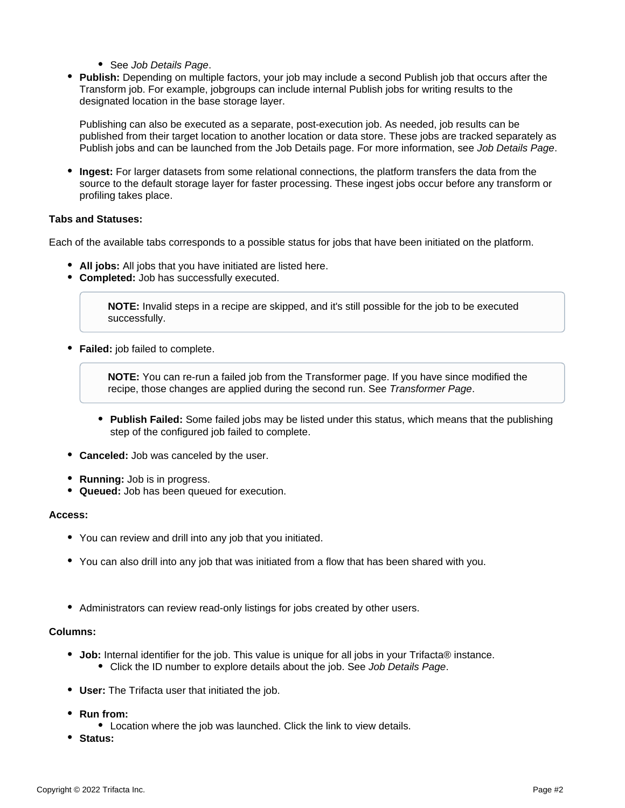- See [Job Details Page](https://docs.trifacta.com/display/r076/Job+Details+Page).
- **Publish:** Depending on multiple factors, your job may include a second Publish job that occurs after the Transform job. For example, jobgroups can include internal Publish jobs for writing results to the designated location in the base storage layer.

Publishing can also be executed as a separate, post-execution job. As needed, job results can be published from their target location to another location or data store. These jobs are tracked separately as Publish jobs and can be launched from the Job Details page. For more information, see [Job Details Page](https://docs.trifacta.com/display/r076/Job+Details+Page).

**Ingest:** For larger datasets from some relational connections, the platform transfers the data from the source to the default storage layer for faster processing. These ingest jobs occur before any transform or profiling takes place.

## **Tabs and Statuses:**

Each of the available tabs corresponds to a possible status for jobs that have been initiated on the platform.

- **All jobs:** All jobs that you have initiated are listed here.
- **Completed:** Job has successfully executed.

**NOTE:** Invalid steps in a recipe are skipped, and it's still possible for the job to be executed successfully.

**Failed:** job failed to complete.

**NOTE:** You can re-run a failed job from the Transformer page. If you have since modified the recipe, those changes are applied during the second run. See [Transformer Page](https://docs.trifacta.com/display/r076/Transformer+Page).

- **Publish Failed:** Some failed jobs may be listed under this status, which means that the publishing step of the configured job failed to complete.
- **Canceled:** Job was canceled by the user.
- **Running:** Job is in progress.
- **Queued:** Job has been queued for execution.

## **Access:**

- You can review and drill into any job that you initiated.
- You can also drill into any job that was initiated from a flow that has been shared with you.
- Administrators can review read-only listings for jobs created by other users.

## **Columns:**

- **Job:** Internal identifier for the job. This value is unique for all jobs in your Trifacta® instance. • Click the ID number to explore details about the job. See [Job Details Page](https://docs.trifacta.com/display/r076/Job+Details+Page).
- **User:** The Trifacta user that initiated the job.
- **Run from:**
	- Location where the job was launched. Click the link to view details.
- **Status:**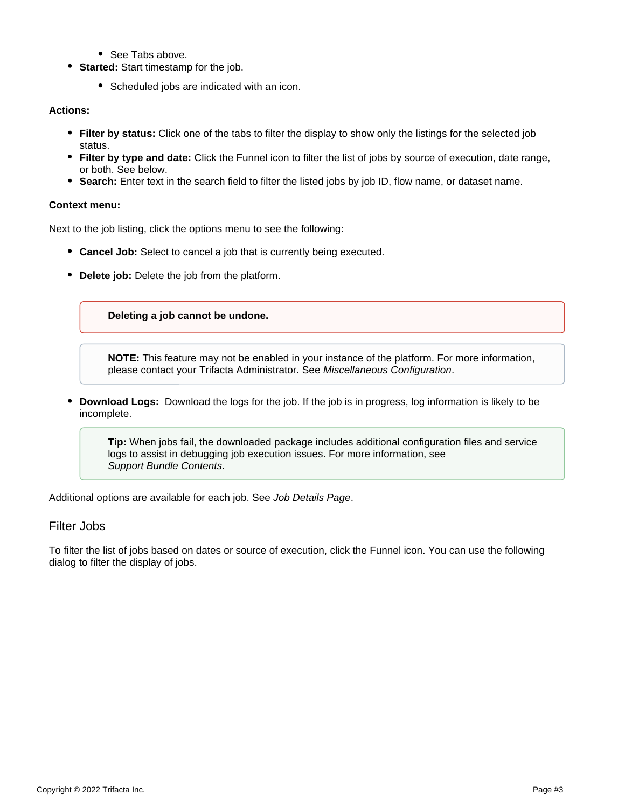- See Tabs above
- **Started:** Start timestamp for the job.
	- Scheduled jobs are indicated with an icon.

## **Actions:**

- **Filter by status:** Click one of the tabs to filter the display to show only the listings for the selected job status.
- **Filter by type and date:** Click the Funnel icon to filter the list of jobs by source of execution, date range, or both. See below.
- **Search:** Enter text in the search field to filter the listed jobs by job ID, flow name, or dataset name.

## **Context menu:**

Next to the job listing, click the options menu to see the following:

- **Cancel Job:** Select to cancel a job that is currently being executed.
- **Delete job:** Delete the job from the platform.

## **Deleting a job cannot be undone.**

**NOTE:** This feature may not be enabled in your instance of the platform. For more information, please contact your Trifacta Administrator. See [Miscellaneous Configuration](https://docs.trifacta.com/display/r076/Miscellaneous+Configuration).

**Download Logs:** Download the logs for the job. If the job is in progress, log information is likely to be incomplete.

**Tip:** When jobs fail, the downloaded package includes additional configuration files and service logs to assist in debugging job execution issues. For more information, see [Support Bundle Contents](https://docs.trifacta.com/display/r076/Support+Bundle+Contents).

Additional options are available for each job. See [Job Details Page](https://docs.trifacta.com/display/r076/Job+Details+Page).

# Filter Jobs

To filter the list of jobs based on dates or source of execution, click the Funnel icon. You can use the following dialog to filter the display of jobs.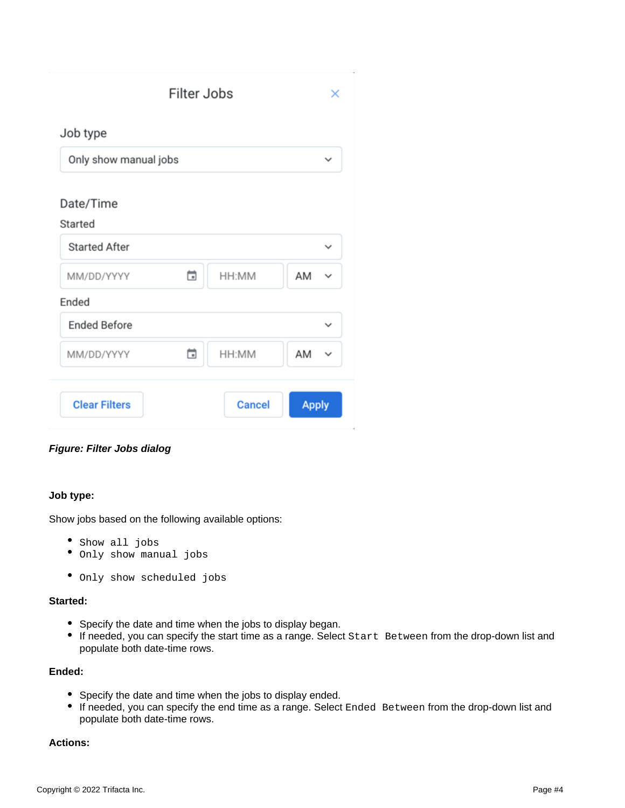|                       | <b>Filter Jobs</b> |               | ×                 |  |
|-----------------------|--------------------|---------------|-------------------|--|
| Job type              |                    |               |                   |  |
| Only show manual jobs |                    |               |                   |  |
| Date/Time<br>Started  |                    |               |                   |  |
| <b>Started After</b>  |                    |               | ◡                 |  |
| MM/DD/YYYY            | ä                  | HH:MM         | AM<br>◡           |  |
| Ended                 |                    |               |                   |  |
| <b>Ended Before</b>   |                    |               | $\checkmark$      |  |
| MM/DD/YYYY            | ä                  | HH:MM         | AM<br>$\check{ }$ |  |
| <b>Clear Filters</b>  |                    | <b>Cancel</b> | <b>Apply</b>      |  |

# **Figure: Filter Jobs dialog**

## **Job type:**

Show jobs based on the following available options:

- Show all jobs
- Only show manual jobs
- Only show scheduled jobs

# **Started:**

- Specify the date and time when the jobs to display began.
- If needed, you can specify the start time as a range. Select Start Between from the drop-down list and populate both date-time rows.

## **Ended:**

- Specify the date and time when the jobs to display ended.
- If needed, you can specify the end time as a range. Select Ended Between from the drop-down list and populate both date-time rows.

## **Actions:**